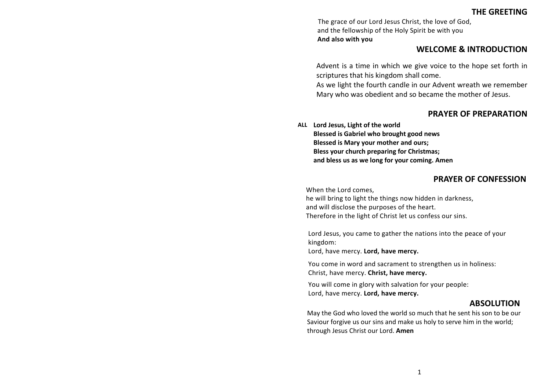# **THE GREETING**

The grace of our Lord Jesus Christ, the love of God, and the fellowship of the Holy Spirit be with you **And also with you**

# **WELCOME & INTRODUCTION**

Advent is a time in which we give voice to the hope set forth in scriptures that his kingdom shall come.

As we light the fourth candle in our Advent wreath we remember Mary who was obedient and so became the mother of Jesus.

# **PRAYER OF PREPARATION**

**ALL Lord Jesus, Light of the world Blessed is Gabriel who brought good news Blessed is Mary your mother and ours; Bless your church preparing for Christmas; and bless us as we long for your coming. Amen**

### **PRAYER OF CONFESSION**

When the Lord comes,

he will bring to light the things now hidden in darkness, and will disclose the purposes of the heart. Therefore in the light of Christ let us confess our sins.

Lord Jesus, you came to gather the nations into the peace of your kingdom:

Lord, have mercy. **Lord, have mercy.**

You come in word and sacrament to strengthen us in holiness: Christ, have mercy. **Christ, have mercy.**

You will come in glory with salvation for your people: Lord, have mercy. **Lord, have mercy.**

### **ABSOLUTION**

May the God who loved the world so much that he sent his son to be our Saviour forgive us our sins and make us holy to serve him in the world; through Jesus Christ our Lord. **Amen**